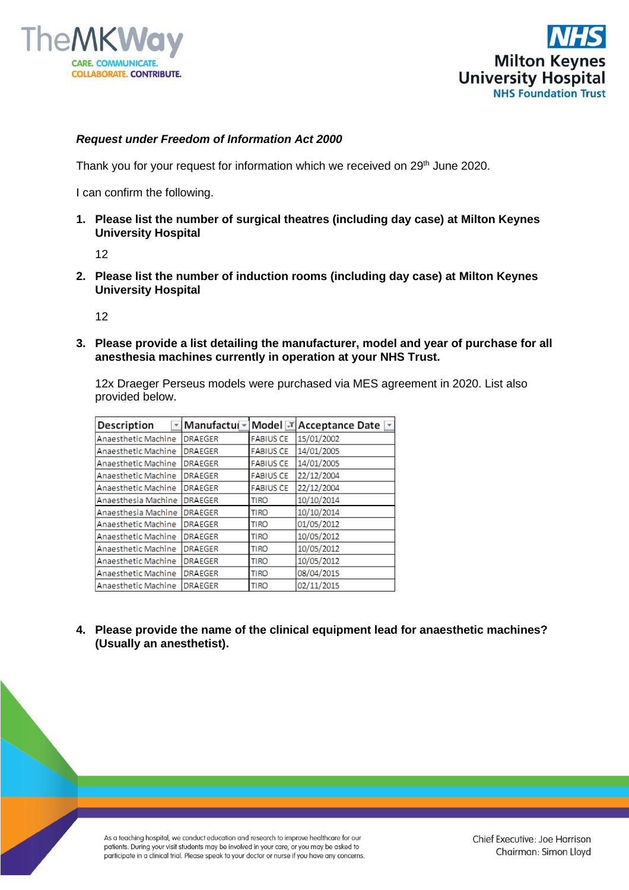



## *Request under Freedom of Information Act 2000*

Thank you for your request for information which we received on 29<sup>th</sup> June 2020.

I can confirm the following.

**1. Please list the number of surgical theatres (including day case) at Milton Keynes University Hospital**

12

**2. Please list the number of induction rooms (including day case) at Milton Keynes University Hospital**

12

**3. Please provide a list detailing the manufacturer, model and year of purchase for all anesthesia machines currently in operation at your NHS Trust.**

12x Draeger Perseus models were purchased via MES agreement in 2020. List also provided below.

| Description         | Manufactui <del>~</del> |                  | Model <b>J</b> Acceptance Date <u>F</u> |
|---------------------|-------------------------|------------------|-----------------------------------------|
| Anaesthetic Machine | <b>DRAEGER</b>          | <b>FABIUS CE</b> | 15/01/2002                              |
| Anaesthetic Machine | <b>DRAEGER</b>          | <b>FABIUS CE</b> | 14/01/2005                              |
| Anaesthetic Machine | <b>DRAEGER</b>          | <b>FABIUS CE</b> | 14/01/2005                              |
| Anaesthetic Machine | <b>DRAEGER</b>          | <b>FABIUS CE</b> | 22/12/2004                              |
| Anaesthetic Machine | <b>DRAEGER</b>          | <b>FABIUS CE</b> | 22/12/2004                              |
| Anaesthesia Machine | <b>DRAEGER</b>          | <b>TIRO</b>      | 10/10/2014                              |
| Anaesthesia Machine | <b>DRAEGER</b>          | <b>TIRO</b>      | 10/10/2014                              |
| Anaesthetic Machine | <b>DRAEGER</b>          | <b>TIRO</b>      | 01/05/2012                              |
| Anaesthetic Machine | <b>DRAEGER</b>          | <b>TIRO</b>      | 10/05/2012                              |
| Anaesthetic Machine | <b>DRAEGER</b>          | <b>TIRO</b>      | 10/05/2012                              |
| Anaesthetic Machine | <b>DRAEGER</b>          | TIRO             | 10/05/2012                              |
| Anaesthetic Machine | <b>DRAEGER</b>          | <b>TIRO</b>      | 08/04/2015                              |
| Anaesthetic Machine | <b>DRAEGER</b>          | <b>TIRO</b>      | 02/11/2015                              |

**4. Please provide the name of the clinical equipment lead for anaesthetic machines? (Usually an anesthetist).**

As a teaching hospital, we conduct education and research to improve healthcare for our patients. During your visit students may be involved in your care, or you may be asked to participate in a clinical trial. Please speak to your doctor or nurse if you have any concerns.